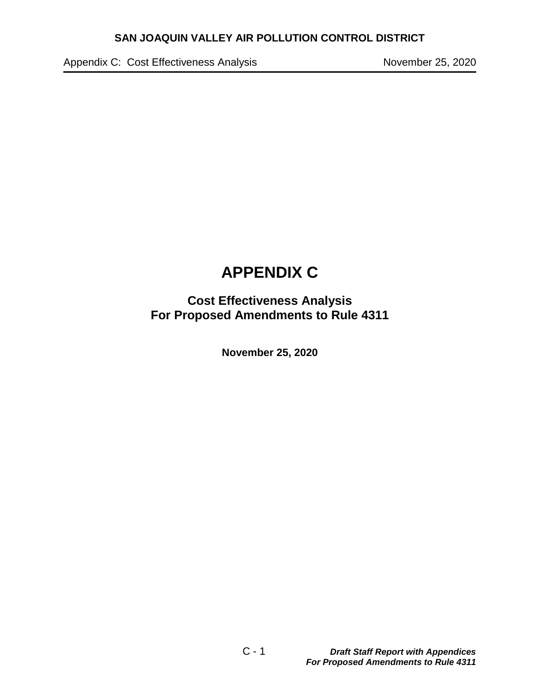Appendix C: Cost Effectiveness Analysis November 25, 2020

# **APPENDIX C**

**Cost Effectiveness Analysis For Proposed Amendments to Rule 4311**

**November 25, 2020**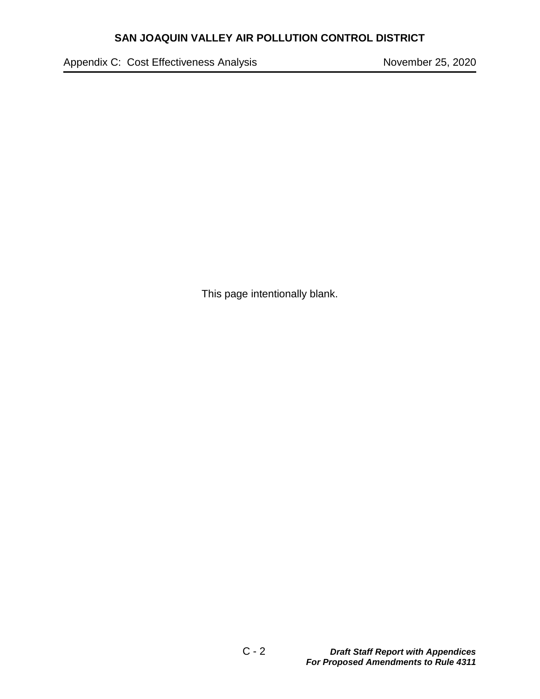Appendix C: Cost Effectiveness Analysis November 25, 2020

This page intentionally blank.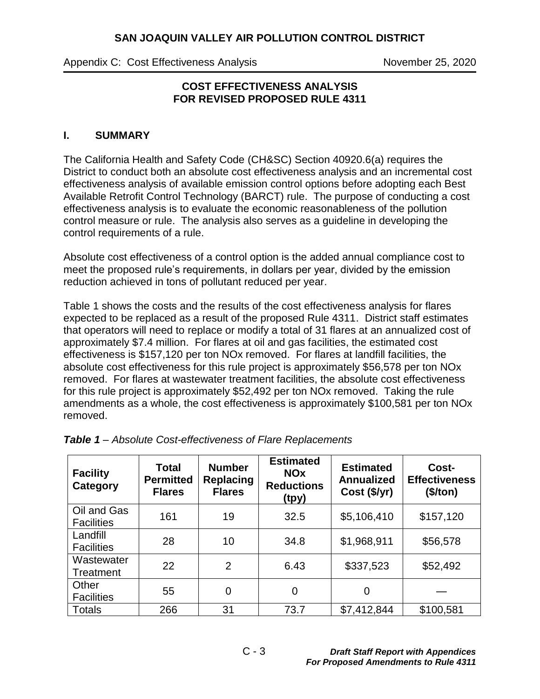#### Appendix C: Cost Effectiveness Analysis November 25, 2020

#### **COST EFFECTIVENESS ANALYSIS FOR REVISED PROPOSED RULE 4311**

#### **I. SUMMARY**

The California Health and Safety Code (CH&SC) Section 40920.6(a) requires the District to conduct both an absolute cost effectiveness analysis and an incremental cost effectiveness analysis of available emission control options before adopting each Best Available Retrofit Control Technology (BARCT) rule. The purpose of conducting a cost effectiveness analysis is to evaluate the economic reasonableness of the pollution control measure or rule. The analysis also serves as a guideline in developing the control requirements of a rule.

Absolute cost effectiveness of a control option is the added annual compliance cost to meet the proposed rule's requirements, in dollars per year, divided by the emission reduction achieved in tons of pollutant reduced per year.

Table 1 shows the costs and the results of the cost effectiveness analysis for flares expected to be replaced as a result of the proposed Rule 4311. District staff estimates that operators will need to replace or modify a total of 31 flares at an annualized cost of approximately \$7.4 million. For flares at oil and gas facilities, the estimated cost effectiveness is \$157,120 per ton NOx removed. For flares at landfill facilities, the absolute cost effectiveness for this rule project is approximately \$56,578 per ton NOx removed. For flares at wastewater treatment facilities, the absolute cost effectiveness for this rule project is approximately \$52,492 per ton NOx removed. Taking the rule amendments as a whole, the cost effectiveness is approximately \$100,581 per ton NOx removed.

| <b>Facility</b><br><b>Category</b> | <b>Total</b><br><b>Permitted</b><br><b>Flares</b> | <b>Number</b><br><b>Replacing</b><br><b>Flares</b> | <b>Estimated</b><br><b>NOx</b><br><b>Reductions</b><br>(tpy) | <b>Estimated</b><br><b>Annualized</b><br>Cost (\$/yr) | Cost-<br><b>Effectiveness</b><br>(\$/ton) |
|------------------------------------|---------------------------------------------------|----------------------------------------------------|--------------------------------------------------------------|-------------------------------------------------------|-------------------------------------------|
| Oil and Gas<br><b>Facilities</b>   | 161                                               | 19                                                 | 32.5                                                         | \$5,106,410                                           | \$157,120                                 |
| Landfill<br><b>Facilities</b>      | 28                                                | 10                                                 | 34.8                                                         | \$1,968,911                                           | \$56,578                                  |
| Wastewater<br>Treatment            | 22                                                | $\overline{2}$                                     | 6.43                                                         | \$337,523                                             | \$52,492                                  |
| Other<br><b>Facilities</b>         | 55                                                | 0                                                  | 0                                                            | 0                                                     |                                           |
| Totals                             | 266                                               | 31                                                 | 73.7                                                         | \$7,412,844                                           | \$100,581                                 |

|  |  |  | Table 1 - Absolute Cost-effectiveness of Flare Replacements |
|--|--|--|-------------------------------------------------------------|
|--|--|--|-------------------------------------------------------------|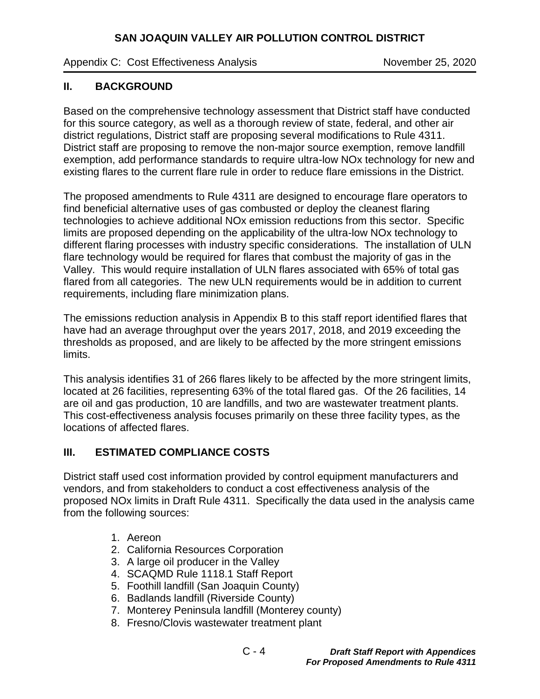Appendix C: Cost Effectiveness Analysis November 25, 2020

#### **II. BACKGROUND**

Based on the comprehensive technology assessment that District staff have conducted for this source category, as well as a thorough review of state, federal, and other air district regulations, District staff are proposing several modifications to Rule 4311. District staff are proposing to remove the non-major source exemption, remove landfill exemption, add performance standards to require ultra-low NOx technology for new and existing flares to the current flare rule in order to reduce flare emissions in the District.

The proposed amendments to Rule 4311 are designed to encourage flare operators to find beneficial alternative uses of gas combusted or deploy the cleanest flaring technologies to achieve additional NOx emission reductions from this sector. Specific limits are proposed depending on the applicability of the ultra-low NOx technology to different flaring processes with industry specific considerations. The installation of ULN flare technology would be required for flares that combust the majority of gas in the Valley. This would require installation of ULN flares associated with 65% of total gas flared from all categories. The new ULN requirements would be in addition to current requirements, including flare minimization plans.

The emissions reduction analysis in Appendix B to this staff report identified flares that have had an average throughput over the years 2017, 2018, and 2019 exceeding the thresholds as proposed, and are likely to be affected by the more stringent emissions limits.

This analysis identifies 31 of 266 flares likely to be affected by the more stringent limits, located at 26 facilities, representing 63% of the total flared gas. Of the 26 facilities, 14 are oil and gas production, 10 are landfills, and two are wastewater treatment plants. This cost-effectiveness analysis focuses primarily on these three facility types, as the locations of affected flares.

#### **III. ESTIMATED COMPLIANCE COSTS**

District staff used cost information provided by control equipment manufacturers and vendors, and from stakeholders to conduct a cost effectiveness analysis of the proposed NOx limits in Draft Rule 4311. Specifically the data used in the analysis came from the following sources:

- 1. Aereon
- 2. California Resources Corporation
- 3. A large oil producer in the Valley
- 4. SCAQMD Rule 1118.1 Staff Report
- 5. Foothill landfill (San Joaquin County)
- 6. Badlands landfill (Riverside County)
- 7. Monterey Peninsula landfill (Monterey county)
- 8. Fresno/Clovis wastewater treatment plant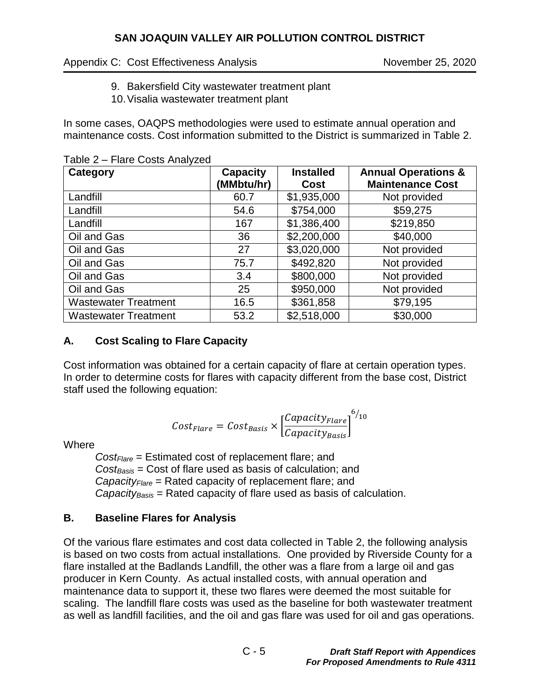#### Appendix C: Cost Effectiveness Analysis November 25, 2020

- 9. Bakersfield City wastewater treatment plant
- 10.Visalia wastewater treatment plant

In some cases, OAQPS methodologies were used to estimate annual operation and maintenance costs. Cost information submitted to the District is summarized in [Table 2.](#page-4-0)

| $\frac{1}{2}$ and $\frac{1}{2}$ and $\frac{1}{2}$ and $\frac{1}{2}$ and $\frac{1}{2}$ and $\frac{1}{2}$ and $\frac{1}{2}$ and $\frac{1}{2}$ and $\frac{1}{2}$ and $\frac{1}{2}$ and $\frac{1}{2}$ and $\frac{1}{2}$ and $\frac{1}{2}$ and $\frac{1}{2}$ and $\frac{1}{2}$ and $\frac{1}{2}$ a<br>Category | <b>Capacity</b> | <b>Installed</b> | <b>Annual Operations &amp;</b> |
|-----------------------------------------------------------------------------------------------------------------------------------------------------------------------------------------------------------------------------------------------------------------------------------------------------------|-----------------|------------------|--------------------------------|
|                                                                                                                                                                                                                                                                                                           | (MMbtu/hr)      | <b>Cost</b>      | <b>Maintenance Cost</b>        |
| Landfill                                                                                                                                                                                                                                                                                                  | 60.7            | \$1,935,000      | Not provided                   |
| Landfill                                                                                                                                                                                                                                                                                                  | 54.6            | \$754,000        | \$59,275                       |
| Landfill                                                                                                                                                                                                                                                                                                  | 167             | \$1,386,400      | \$219,850                      |
| Oil and Gas                                                                                                                                                                                                                                                                                               | 36              | \$2,200,000      | \$40,000                       |
| Oil and Gas                                                                                                                                                                                                                                                                                               | 27              | \$3,020,000      | Not provided                   |
| Oil and Gas                                                                                                                                                                                                                                                                                               | 75.7            | \$492,820        | Not provided                   |
| Oil and Gas                                                                                                                                                                                                                                                                                               | 3.4             | \$800,000        | Not provided                   |
| Oil and Gas                                                                                                                                                                                                                                                                                               | 25              | \$950,000        | Not provided                   |
| <b>Wastewater Treatment</b>                                                                                                                                                                                                                                                                               | 16.5            | \$361,858        | \$79,195                       |
| <b>Wastewater Treatment</b>                                                                                                                                                                                                                                                                               | 53.2            | \$2,518,000      | \$30,000                       |

<span id="page-4-0"></span>Table 2 – Flare Costs Analyzed

# **A. Cost Scaling to Flare Capacity**

Cost information was obtained for a certain capacity of flare at certain operation types. In order to determine costs for flares with capacity different from the base cost, District staff used the following equation:

$$
Cost_{Flare} = Cost_{Basis} \times \left[ \frac{Capacity_{Flare}}{Capacity_{Basis}} \right]^{6/10}
$$

Where

*CostFlare* = Estimated cost of replacement flare; and *CostBasis* = Cost of flare used as basis of calculation; and *CapacityFlare* = Rated capacity of replacement flare; and *CapacityBasis* = Rated capacity of flare used as basis of calculation.

#### **B. Baseline Flares for Analysis**

Of the various flare estimates and cost data collected in [Table 2,](#page-4-0) the following analysis is based on two costs from actual installations. One provided by Riverside County for a flare installed at the Badlands Landfill, the other was a flare from a large oil and gas producer in Kern County. As actual installed costs, with annual operation and maintenance data to support it, these two flares were deemed the most suitable for scaling. The landfill flare costs was used as the baseline for both wastewater treatment as well as landfill facilities, and the oil and gas flare was used for oil and gas operations.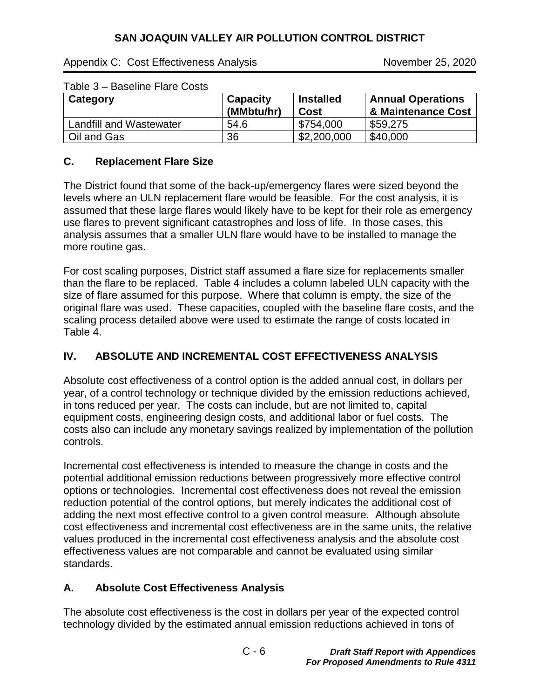Appendix C: Cost Effectiveness Analysis November 25, 2020

|  |  | Table 3 - Baseline Flare Costs |  |
|--|--|--------------------------------|--|
|--|--|--------------------------------|--|

| Category                       | Capacity<br>(MMbtu/hr) | <b>Installed</b><br>Cost | <b>Annual Operations</b><br>& Maintenance Cost |
|--------------------------------|------------------------|--------------------------|------------------------------------------------|
| <b>Landfill and Wastewater</b> | 54.6                   | \$754,000                | \$59,275                                       |
| Oil and Gas                    | 36                     | \$2,200,000              | \$40,000                                       |

#### <span id="page-5-0"></span>**C. Replacement Flare Size**

The District found that some of the back-up/emergency flares were sized beyond the levels where an ULN replacement flare would be feasible. For the cost analysis, it is assumed that these large flares would likely have to be kept for their role as emergency use flares to prevent significant catastrophes and loss of life. In those cases, this analysis assumes that a smaller ULN flare would have to be installed to manage the more routine gas.

For cost scaling purposes, District staff assumed a flare size for replacements smaller than the flare to be replaced. [Table](#page-7-0) 4 includes a column labeled ULN capacity with the size of flare assumed for this purpose. Where that column is empty, the size of the original flare was used. These capacities, coupled with the baseline flare costs, and the scaling process detailed above were used to estimate the range of costs located in [Table](#page-7-0) 4.

# **IV. ABSOLUTE AND INCREMENTAL COST EFFECTIVENESS ANALYSIS**

Absolute cost effectiveness of a control option is the added annual cost, in dollars per year, of a control technology or technique divided by the emission reductions achieved, in tons reduced per year. The costs can include, but are not limited to, capital equipment costs, engineering design costs, and additional labor or fuel costs. The costs also can include any monetary savings realized by implementation of the pollution controls.

Incremental cost effectiveness is intended to measure the change in costs and the potential additional emission reductions between progressively more effective control options or technologies. Incremental cost effectiveness does not reveal the emission reduction potential of the control options, but merely indicates the additional cost of adding the next most effective control to a given control measure. Although absolute cost effectiveness and incremental cost effectiveness are in the same units, the relative values produced in the incremental cost effectiveness analysis and the absolute cost effectiveness values are not comparable and cannot be evaluated using similar standards.

# **A. Absolute Cost Effectiveness Analysis**

The absolute cost effectiveness is the cost in dollars per year of the expected control technology divided by the estimated annual emission reductions achieved in tons of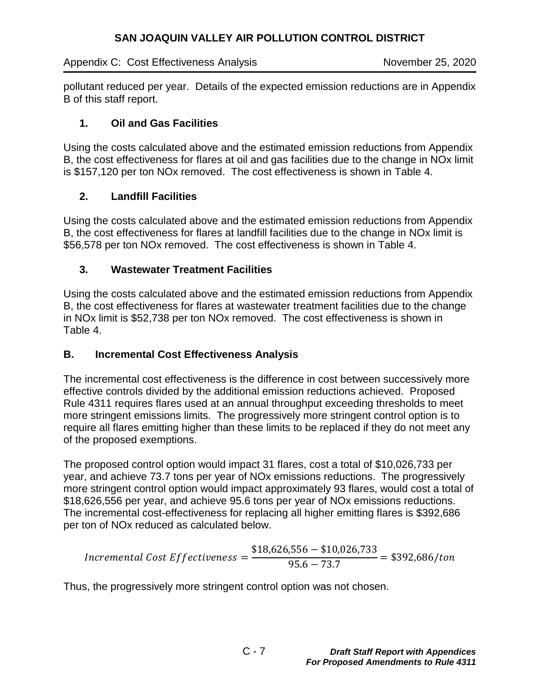Appendix C: Cost Effectiveness Analysis November 25, 2020

pollutant reduced per year. Details of the expected emission reductions are in Appendix B of this staff report.

# **1. Oil and Gas Facilities**

Using the costs calculated above and the estimated emission reductions from Appendix B, the cost effectiveness for flares at oil and gas facilities due to the change in NOx limit is \$157,120 per ton NOx removed. The cost effectiveness is shown in [Table](#page-7-0) 4.

# **2. Landfill Facilities**

Using the costs calculated above and the estimated emission reductions from Appendix B, the cost effectiveness for flares at landfill facilities due to the change in NOx limit is \$56,578 per ton NOx removed. The cost effectiveness is shown in [Table](#page-7-0) 4.

# **3. Wastewater Treatment Facilities**

Using the costs calculated above and the estimated emission reductions from Appendix B, the cost effectiveness for flares at wastewater treatment facilities due to the change in NOx limit is \$52,738 per ton NOx removed. The cost effectiveness is shown in [Table](#page-7-0) 4.

# **B. Incremental Cost Effectiveness Analysis**

The incremental cost effectiveness is the difference in cost between successively more effective controls divided by the additional emission reductions achieved. Proposed Rule 4311 requires flares used at an annual throughput exceeding thresholds to meet more stringent emissions limits. The progressively more stringent control option is to require all flares emitting higher than these limits to be replaced if they do not meet any of the proposed exemptions.

The proposed control option would impact 31 flares, cost a total of \$10,026,733 per year, and achieve 73.7 tons per year of NOx emissions reductions. The progressively more stringent control option would impact approximately 93 flares, would cost a total of \$18,626,556 per year, and achieve 95.6 tons per year of NOx emissions reductions. The incremental cost-effectiveness for replacing all higher emitting flares is \$392,686 per ton of NOx reduced as calculated below.

*Incremental Cost Effectiveness* = 
$$
\frac{$18,626,556 - $10,026,733}{95.6 - 73.7}
$$
 = \$392,686/t*on*

Thus, the progressively more stringent control option was not chosen.